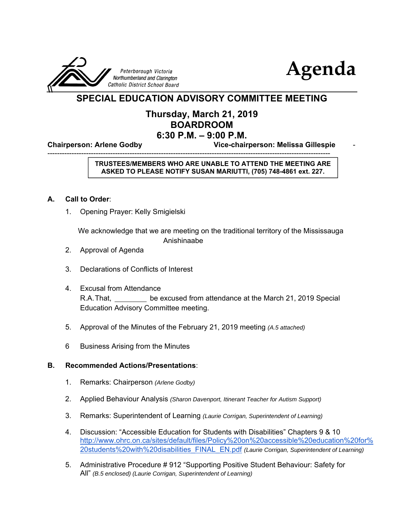



## **SPECIAL EDUCATION ADVISORY COMMITTEE MEETING**

### **Thursday, March 21, 2019 BOARDROOM 6:30 P.M. – 9:00 P.M.**

**Chairperson: Arlene Godby Vice-chairperson: Melissa Gillespie** -

--------------------------------------------------------------------------------------------------------------------- **TRUSTEES/MEMBERS WHO ARE UNABLE TO ATTEND THE MEETING ARE ASKED TO PLEASE NOTIFY SUSAN MARIUTTI, (705) 748-4861 ext. 227.**

#### **A. Call to Order**:

1. Opening Prayer: Kelly Smigielski

 We acknowledge that we are meeting on the traditional territory of the Mississauga Anishinaabe

- 2. Approval of Agenda
- 3. Declarations of Conflicts of Interest
- 4. Excusal from Attendance R.A. That, <u>come nexcused from attendance at the March 21, 2019 Special</u> Education Advisory Committee meeting.
- 5. Approval of the Minutes of the February 21, 2019 meeting *(A.5 attached)*
- 6 Business Arising from the Minutes

#### **B. Recommended Actions/Presentations**:

- 1. Remarks: Chairperson *(Arlene Godby)*
- 2. Applied Behaviour Analysis *(Sharon Davenport, Itinerant Teacher for Autism Support)*
- 3. Remarks: Superintendent of Learning *(Laurie Corrigan, Superintendent of Learning)*
- 4. Discussion: "Accessible Education for Students with Disabilities" Chapters 9 & 10 http://www.ohrc.on.ca/sites/default/files/Policy%20on%20accessible%20education%20for% 20students%20with%20disabilities\_FINAL\_EN.pdf *(Laurie Corrigan, Superintendent of Learning)*
- 5. Administrative Procedure # 912 "Supporting Positive Student Behaviour: Safety for All" *(B.5 enclosed) (Laurie Corrigan, Superintendent of Learning)*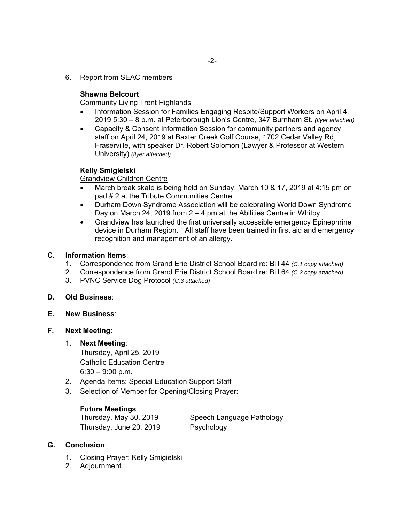6. Report from SEAC members

#### **Shawna Belcourt**

Community Living Trent Highlands

- Information Session for Families Engaging Respite/Support Workers on April 4, 2019 5:30 – 8 p.m. at Peterborough Lion's Centre, 347 Burnham St. *(flyer attached)*
- Capacity & Consent Information Session for community partners and agency staff on April 24, 2019 at Baxter Creek Golf Course, 1702 Cedar Valley Rd, Fraserville, with speaker Dr. Robert Solomon (Lawyer & Professor at Western University) *(flyer attached)*

#### **Kelly Smigielski**

Grandview Children Centre

- March break skate is being held on Sunday, March 10 & 17, 2019 at 4:15 pm on pad # 2 at the Tribute Communities Centre
- Durham Down Syndrome Association will be celebrating World Down Syndrome Day on March 24, 2019 from 2 – 4 pm at the Abilities Centre in Whitby
- Grandview has launched the first universally accessible emergency Epinephrine device in Durham Region. All staff have been trained in first aid and emergency recognition and management of an allergy.

#### **C. Information Items**:

- 1. Correspondence from Grand Erie District School Board re: Bill 44 *(C.1 copy attached)*
- 2. Correspondence from Grand Erie District School Board re: Bill 64 *(C.2 copy attached)*
- 3. PVNC Service Dog Protocol *(C.3 attached)*

#### **D. Old Business**:

**E. New Business**:

#### **F. Next Meeting**:

#### 1. **Next Meeting**:

 Thursday, April 25, 2019 Catholic Education Centre  $6:30 - 9:00$  p.m.

- 2. Agenda Items: Special Education Support Staff
- 3. Selection of Member for Opening/Closing Prayer:

#### **Future Meetings**

Thursday, June 20, 2019 Psychology

Thursday, May 30, 2019 Speech Language Pathology

#### **G. Conclusion**:

- 1. Closing Prayer: Kelly Smigielski
- 2. Adjournment.